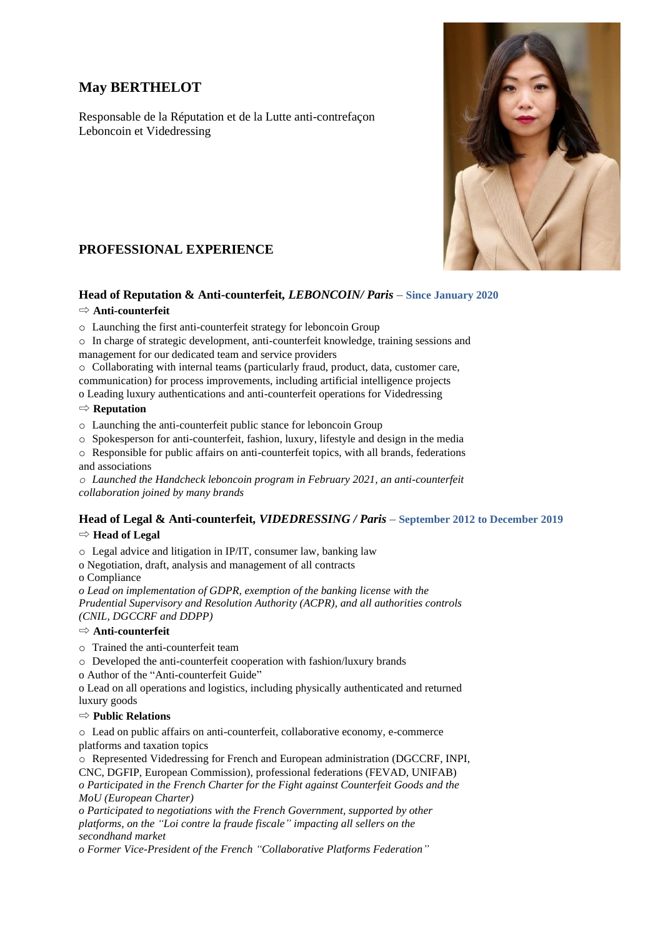# **May BERTHELOT**

Responsable de la Réputation et de la Lutte anti-contrefaçon Leboncoin et Videdressing



# **PROFESSIONAL EXPERIENCE**

# **Head of Reputation & Anti-counterfeit***, LEBONCOIN/ Paris* – **Since January 2020**

### ⇨ **Anti-counterfeit**

- o Launching the first anti-counterfeit strategy for leboncoin Group
- o In charge of strategic development, anti-counterfeit knowledge, training sessions and management for our dedicated team and service providers
- o Collaborating with internal teams (particularly fraud, product, data, customer care, communication) for process improvements, including artificial intelligence projects

o Leading luxury authentications and anti-counterfeit operations for Videdressing

### ⇨ **Reputation**

- o Launching the anti-counterfeit public stance for leboncoin Group
- o Spokesperson for anti-counterfeit, fashion, luxury, lifestyle and design in the media
- o Responsible for public affairs on anti-counterfeit topics, with all brands, federations and associations

*o Launched the Handcheck leboncoin program in February 2021, an anti-counterfeit collaboration joined by many brands*

## **Head of Legal & Anti-counterfeit***, VIDEDRESSING / Paris* – **September 2012 to December 2019**

#### ⇨ **Head of Legal**

o Legal advice and litigation in IP/IT, consumer law, banking law

o Negotiation, draft, analysis and management of all contracts

o Compliance

*o Lead on implementation of GDPR, exemption of the banking license with the Prudential Supervisory and Resolution Authority (ACPR), and all authorities controls (CNIL, DGCCRF and DDPP)*

#### ⇨ **Anti-counterfeit**

o Trained the anti-counterfeit team

o Developed the anti-counterfeit cooperation with fashion/luxury brands

o Author of the "Anti-counterfeit Guide"

o Lead on all operations and logistics, including physically authenticated and returned luxury goods

#### ⇨ **Public Relations**

o Lead on public affairs on anti-counterfeit, collaborative economy, e-commerce platforms and taxation topics

o Represented Videdressing for French and European administration (DGCCRF, INPI,

CNC, DGFIP, European Commission), professional federations (FEVAD, UNIFAB)

*o Participated in the French Charter for the Fight against Counterfeit Goods and the MoU (European Charter)*

*o Participated to negotiations with the French Government, supported by other platforms, on the "Loi contre la fraude fiscale" impacting all sellers on the secondhand market*

*o Former Vice-President of the French "Collaborative Platforms Federation"*